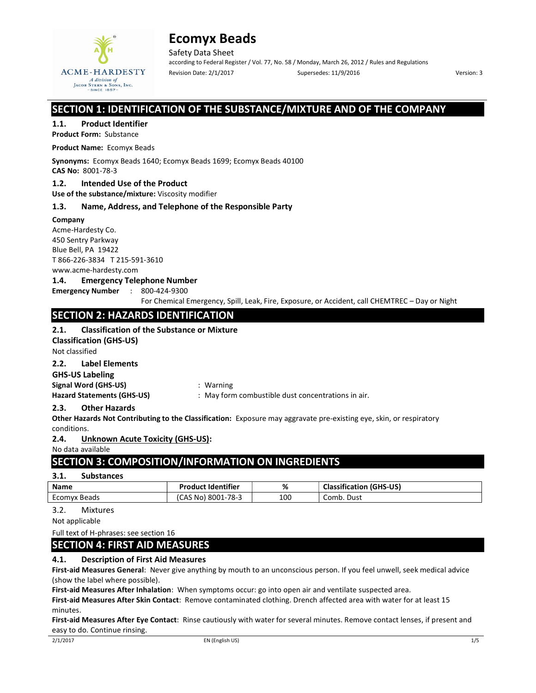

Safety Data Sheet according to Federal Register / Vol. 77, No. 58 / Monday, March 26, 2012 / Rules and Regulations Revision Date: 2/1/2017 Supersedes: 11/9/2016 Version: 3

## SECTION 1: IDENTIFICATION OF THE SUBSTANCE/MIXTURE AND OF THE COMPANY

### 1.1. Product Identifier

Product Form: Substance

Product Name: Ecomyx Beads

Synonyms: Ecomyx Beads 1640; Ecomyx Beads 1699; Ecomyx Beads 40100 CAS No: 8001-78-3

# 1.2. Intended Use of the Product

Use of the substance/mixture: Viscosity modifier

### 1.3. Name, Address, and Telephone of the Responsible Party

Company

Acme-Hardesty Co. 450 Sentry Parkway Blue Bell, PA 19422 T 866-226-3834 T 215-591-3610 www.acme-hardesty.com

## 1.4. Emergency Telephone Number

Emergency Number : 800-424-9300

For Chemical Emergency, Spill, Leak, Fire, Exposure, or Accident, call CHEMTREC – Day or Night

## SECTION 2: HAZARDS IDENTIFICATION

## 2.1. Classification of the Substance or Mixture

Classification (GHS-US)

Not classified

### 2.2. Label Elements

GHS-US Labeling

Signal Word (GHS-US) **:** Warning

Hazard Statements (GHS-US) : May form combustible dust concentrations in air.

## 2.3. Other Hazards

Other Hazards Not Contributing to the Classification: Exposure may aggravate pre-existing eye, skin, or respiratory conditions.

2.4. Unknown Acute Toxicity (GHS-US):

No data available

# SECTION 3: COMPOSITION/INFORMATION ON INGREDIENTS

## 3.1. Substances

| <b>Name</b>  | <b>Product Identifier</b> | ℅   | <b>Classification (GHS-US)</b> |
|--------------|---------------------------|-----|--------------------------------|
| Ecomyx Beads | (CAS No) 8001-78-3        | 100 | Comb. Dust                     |

## 3.2. Mixtures

Not applicable

Full text of H-phrases: see section 16

## SECTION 4: FIRST AID MEASURES

## 4.1. Description of First Aid Measures

First-aid Measures General: Never give anything by mouth to an unconscious person. If you feel unwell, seek medical advice (show the label where possible).

First-aid Measures After Inhalation: When symptoms occur: go into open air and ventilate suspected area.

First-aid Measures After Skin Contact: Remove contaminated clothing. Drench affected area with water for at least 15 minutes.

First-aid Measures After Eye Contact: Rinse cautiously with water for several minutes. Remove contact lenses, if present and easy to do. Continue rinsing.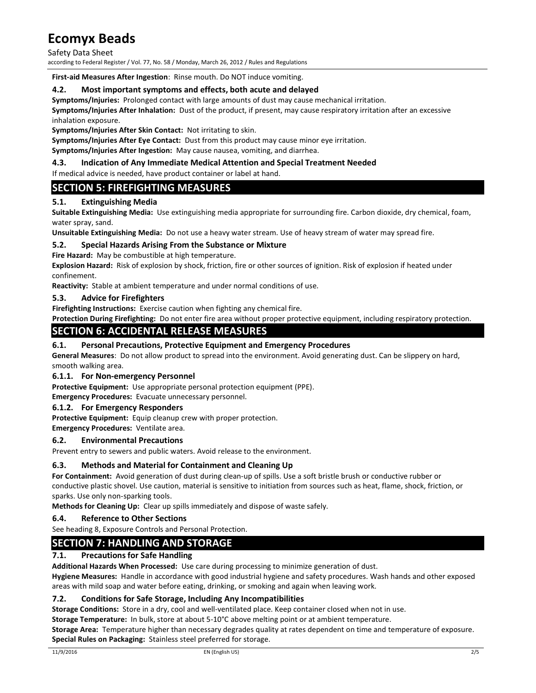Safety Data Sheet according to Federal Register / Vol. 77, No. 58 / Monday, March 26, 2012 / Rules and Regulations

First-aid Measures After Ingestion: Rinse mouth. Do NOT induce vomiting.

## 4.2. Most important symptoms and effects, both acute and delayed

Symptoms/Injuries: Prolonged contact with large amounts of dust may cause mechanical irritation.

Symptoms/Injuries After Inhalation: Dust of the product, if present, may cause respiratory irritation after an excessive inhalation exposure.

Symptoms/Injuries After Skin Contact: Not irritating to skin.

Symptoms/Injuries After Eye Contact: Dust from this product may cause minor eye irritation.

Symptoms/Injuries After Ingestion: May cause nausea, vomiting, and diarrhea.

## 4.3. Indication of Any Immediate Medical Attention and Special Treatment Needed

If medical advice is needed, have product container or label at hand.

## SECTION 5: FIREFIGHTING MEASURES

## 5.1. Extinguishing Media

Suitable Extinguishing Media: Use extinguishing media appropriate for surrounding fire. Carbon dioxide, dry chemical, foam, water spray, sand.

Unsuitable Extinguishing Media: Do not use a heavy water stream. Use of heavy stream of water may spread fire.

### 5.2. Special Hazards Arising From the Substance or Mixture

Fire Hazard: May be combustible at high temperature.

Explosion Hazard: Risk of explosion by shock, friction, fire or other sources of ignition. Risk of explosion if heated under confinement.

Reactivity: Stable at ambient temperature and under normal conditions of use.

### 5.3. Advice for Firefighters

Firefighting Instructions: Exercise caution when fighting any chemical fire.

Protection During Firefighting: Do not enter fire area without proper protective equipment, including respiratory protection.

## SECTION 6: ACCIDENTAL RELEASE MEASURES

### 6.1. Personal Precautions, Protective Equipment and Emergency Procedures

General Measures: Do not allow product to spread into the environment. Avoid generating dust. Can be slippery on hard, smooth walking area.

### 6.1.1. For Non-emergency Personnel

Protective Equipment: Use appropriate personal protection equipment (PPE).

Emergency Procedures: Evacuate unnecessary personnel.

## 6.1.2. For Emergency Responders

Protective Equipment: Equip cleanup crew with proper protection.

Emergency Procedures: Ventilate area.

### 6.2. Environmental Precautions

Prevent entry to sewers and public waters. Avoid release to the environment.

### 6.3. Methods and Material for Containment and Cleaning Up

For Containment: Avoid generation of dust during clean-up of spills. Use a soft bristle brush or conductive rubber or conductive plastic shovel. Use caution, material is sensitive to initiation from sources such as heat, flame, shock, friction, or sparks. Use only non-sparking tools.

Methods for Cleaning Up: Clear up spills immediately and dispose of waste safely.

### 6.4. Reference to Other Sections

See heading 8, Exposure Controls and Personal Protection.

## SECTION 7: HANDLING AND STORAGE

### 7.1. Precautions for Safe Handling

Additional Hazards When Processed: Use care during processing to minimize generation of dust.

Hygiene Measures: Handle in accordance with good industrial hygiene and safety procedures. Wash hands and other exposed areas with mild soap and water before eating, drinking, or smoking and again when leaving work.

### 7.2. Conditions for Safe Storage, Including Any Incompatibilities

Storage Conditions: Store in a dry, cool and well-ventilated place. Keep container closed when not in use.

Storage Temperature: In bulk, store at about 5-10°C above melting point or at ambient temperature.

Storage Area: Temperature higher than necessary degrades quality at rates dependent on time and temperature of exposure. Special Rules on Packaging: Stainless steel preferred for storage.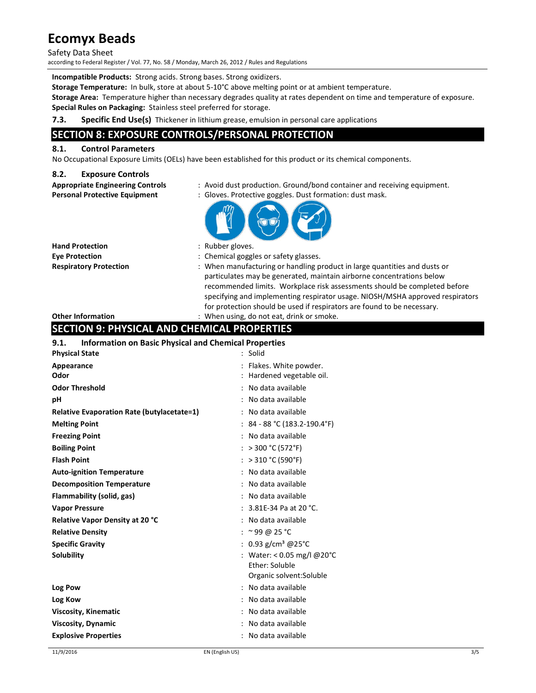### Safety Data Sheet

according to Federal Register / Vol. 77, No. 58 / Monday, March 26, 2012 / Rules and Regulations

Incompatible Products: Strong acids. Strong bases. Strong oxidizers.

Storage Temperature: In bulk, store at about 5-10°C above melting point or at ambient temperature.

Storage Area: Temperature higher than necessary degrades quality at rates dependent on time and temperature of exposure. Special Rules on Packaging: Stainless steel preferred for storage.

## 7.3. Specific End Use(s) Thickener in lithium grease, emulsion in personal care applications

# SECTION 8: EXPOSURE CONTROLS/PERSONAL PROTECTION

## 8.1. Control Parameters

No Occupational Exposure Limits (OELs) have been established for this product or its chemical components.

### 8.2. Exposure Controls

| <b>Appropriate Engineering Control:</b> |  |  |
|-----------------------------------------|--|--|
| Darconal Drotactiva Fauinmant           |  |  |

- Is ending the Engineering container in the controls of the Controls of the Controls of the Controls of the Controls of the Controls of the Controls of the Controls of the Controls of the Controls of the Controls of the Con
- Personal Protective Equipment : Gloves. Protective goggles. Dust formation: dust mask.



Hand Protection : Rubber gloves.

- 
- Eye Protection : Chemical goggles or safety glasses.
- Respiratory Protection : When manufacturing or handling product in large quantities and dusts or particulates may be generated, maintain airborne concentrations below recommended limits. Workplace risk assessments should be completed before specifying and implementing respirator usage. NIOSH/MSHA approved respirators for protection should be used if respirators are found to be necessary.

### Other Information : When using, do not eat, drink or smoke.

## SECTION 9: PHYSICAL AND CHEMICAL PROPERTIES

| 9.1.<br><b>Information on Basic Physical and Chemical Properties</b> |                                   |
|----------------------------------------------------------------------|-----------------------------------|
| <b>Physical State</b>                                                | : Solid                           |
| Appearance                                                           | : Flakes. White powder.           |
| Odor                                                                 | : Hardened vegetable oil.         |
| <b>Odor Threshold</b>                                                | : No data available               |
| pН                                                                   | : No data available               |
| <b>Relative Evaporation Rate (butylacetate=1)</b>                    | : No data available               |
| <b>Melting Point</b>                                                 | $: 84 - 88 °C (183.2 - 190.4 °F)$ |
| <b>Freezing Point</b>                                                | : No data available               |
| <b>Boiling Point</b>                                                 | : > 300 °C (572 °F)               |
| <b>Flash Point</b>                                                   | : > 310 °C (590°F)                |
| <b>Auto-ignition Temperature</b>                                     | : No data available               |
| <b>Decomposition Temperature</b>                                     | : No data available               |
| Flammability (solid, gas)                                            | : No data available               |
| <b>Vapor Pressure</b>                                                | : $3.81E-34$ Pa at 20 °C.         |
| <b>Relative Vapor Density at 20 °C</b>                               | : No data available               |
| <b>Relative Density</b>                                              | : $\approx$ 99 @ 25 °C            |
| <b>Specific Gravity</b>                                              | : 0.93 g/cm <sup>3</sup> @25°C    |
| Solubility                                                           | : Water: < 0.05 mg/l @20°C        |
|                                                                      | Ether: Soluble                    |
|                                                                      | Organic solvent: Soluble          |
| Log Pow                                                              | : No data available               |
| Log Kow                                                              | : No data available               |
| <b>Viscosity, Kinematic</b>                                          | : No data available               |
| <b>Viscosity, Dynamic</b>                                            | : No data available               |
| <b>Explosive Properties</b>                                          | : No data available               |
|                                                                      |                                   |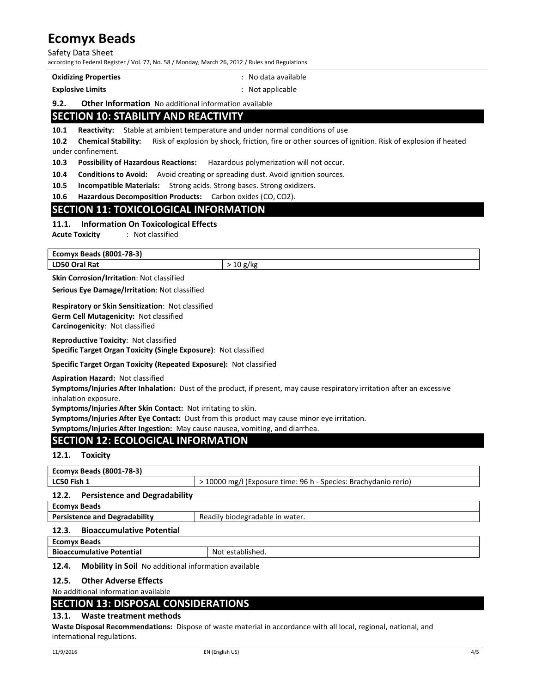#### Safety Data Sheet according to Federal Register / Vol. 77, No. 58 / Monday, March 26, 2012 / Rules and Regulations

|  | <b>Oxidizing Properties</b> |
|--|-----------------------------|
|--|-----------------------------|

Explosive Limits **Explosive Limits Explosive Limits Explosive Limits Explosive Limits Explosive Limits Explosive Limits Explosive Limits Explosive Limits Explosive Limits Explosive Limits Explosive Limi** 

: No data available

### 9.2. Other Information No additional information available

# SECTION 10: STABILITY AND REACTIVITY

10.1 Reactivity: Stable at ambient temperature and under normal conditions of use

10.2 Chemical Stability: Risk of explosion by shock, friction, fire or other sources of ignition. Risk of explosion if heated under confinement.

10.3 Possibility of Hazardous Reactions: Hazardous polymerization will not occur.

10.4 Conditions to Avoid: Avoid creating or spreading dust. Avoid ignition sources.

10.5 Incompatible Materials: Strong acids. Strong bases. Strong oxidizers.

10.6 Hazardous Decomposition Products: Carbon oxides (CO, CO2).

## SECTION 11: TOXICOLOGICAL INFORMATION

### 11.1. Information On Toxicological Effects

Acute Toxicity : Not classified

Ecomyx Beads (8001-78-3) LD50 Oral Rat  $> 10 \text{ g/kg}$ 

Skin Corrosion/Irritation: Not classified

Serious Eye Damage/Irritation: Not classified

Respiratory or Skin Sensitization: Not classified Germ Cell Mutagenicity: Not classified Carcinogenicity: Not classified

Reproductive Toxicity: Not classified Specific Target Organ Toxicity (Single Exposure): Not classified

Specific Target Organ Toxicity (Repeated Exposure): Not classified

Aspiration Hazard: Not classified

Symptoms/Injuries After Inhalation: Dust of the product, if present, may cause respiratory irritation after an excessive inhalation exposure.

Symptoms/Injuries After Skin Contact: Not irritating to skin.

Symptoms/Injuries After Eye Contact: Dust from this product may cause minor eye irritation.

Symptoms/Injuries After Ingestion: May cause nausea, vomiting, and diarrhea.

# SECTION 12: ECOLOGICAL INFORMATION

### 12.1. Toxicity

| > 10000 mg/l (Exposure time: 96 h - Species: Brachydanio rerio) |  |  |
|-----------------------------------------------------------------|--|--|
| <b>Persistence and Degradability</b><br>12.2.                   |  |  |
| <b>Ecomyx Beads</b>                                             |  |  |
| Readily biodegradable in water.                                 |  |  |
| <b>Bioaccumulative Potential</b><br>12.3.                       |  |  |
| <b>Ecomyx Beads</b>                                             |  |  |
| <b>Bioaccumulative Potential</b><br>Not established.            |  |  |
|                                                                 |  |  |

### 12.4. Mobility in Soil No additional information available

12.5. Other Adverse Effects

No additional information available

## SECTION 13: DISPOSAL CONSIDERATIONS

### 13.1. Waste treatment methods

Waste Disposal Recommendations: Dispose of waste material in accordance with all local, regional, national, and international regulations.